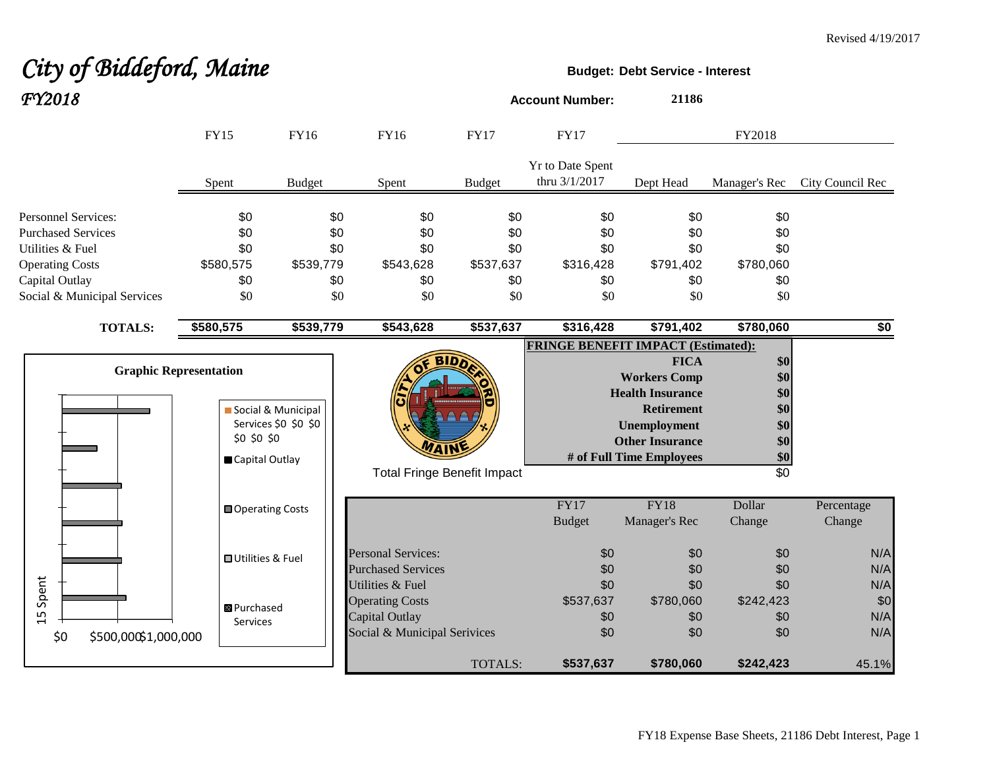## City of Biddeford, Maine **Budget:** Debt Service - Interest *FY2018* **Account Number: <sup>21186</sup>**

|                             | <b>FY15</b>                   | FY16                 | <b>FY16</b>                        | <b>FY17</b>   | <b>FY17</b>                               |                          | FY2018          |                  |
|-----------------------------|-------------------------------|----------------------|------------------------------------|---------------|-------------------------------------------|--------------------------|-----------------|------------------|
|                             | Spent                         | <b>Budget</b>        | Spent                              | <b>Budget</b> | Yr to Date Spent<br>thru 3/1/2017         | Dept Head                | Manager's Rec   | City Council Rec |
| <b>Personnel Services:</b>  | \$0                           | \$0                  | \$0                                | \$0           | \$0                                       | \$0                      | \$0             |                  |
| <b>Purchased Services</b>   | \$0                           | \$0                  | \$0                                | \$0           | \$0                                       | \$0                      | \$0             |                  |
| Utilities & Fuel            | \$0                           | \$0                  | \$0                                | \$0           | \$0                                       | \$0                      | \$0             |                  |
| <b>Operating Costs</b>      | \$580,575                     | \$539,779            | \$543,628                          | \$537,637     | \$316,428                                 | \$791,402                | \$780,060       |                  |
| Capital Outlay              | \$0                           | \$0                  | \$0                                | \$0           | \$0                                       | \$0                      | \$0             |                  |
| Social & Municipal Services | \$0                           | \$0                  | \$0                                | \$0           | \$0                                       | \$0                      | \$0             |                  |
| <b>TOTALS:</b>              | \$580,575                     | \$539,779            | \$543,628                          | \$537,637     | \$316,428                                 | \$791,402                | \$780,060       | \$0              |
|                             |                               |                      |                                    |               | <b>FRINGE BENEFIT IMPACT (Estimated):</b> |                          |                 |                  |
|                             |                               |                      | <b>BIDD</b>                        |               |                                           | <b>FICA</b>              | \$0             |                  |
|                             | <b>Graphic Representation</b> |                      |                                    |               |                                           | <b>Workers Comp</b>      | \$0             |                  |
|                             |                               |                      |                                    |               |                                           | <b>Health Insurance</b>  | \$0             |                  |
|                             |                               | Social & Municipal   |                                    |               |                                           | <b>Retirement</b>        | \$0             |                  |
|                             |                               | Services \$0 \$0 \$0 |                                    |               |                                           | <b>Unemployment</b>      | \$0             |                  |
|                             | \$0 \$0 \$0                   |                      |                                    |               |                                           | <b>Other Insurance</b>   | \$0             |                  |
|                             | Capital Outlay                |                      |                                    |               |                                           | # of Full Time Employees | \$0             |                  |
|                             |                               |                      | <b>Total Fringe Benefit Impact</b> |               |                                           |                          | $\overline{30}$ |                  |
|                             | Operating Costs               |                      |                                    |               | <b>FY17</b>                               | <b>FY18</b>              | Dollar          | Percentage       |
|                             |                               |                      |                                    |               | <b>Budget</b>                             | Manager's Rec            | Change          | Change           |
|                             | <b>□</b> Utilities & Fuel     |                      | <b>Personal Services:</b>          |               | \$0                                       | \$0                      | \$0             | N/A              |
|                             |                               |                      | <b>Purchased Services</b>          |               | \$0                                       | \$0                      | \$0             | N/A              |
| Spent                       |                               |                      | Utilities & Fuel                   |               | \$0                                       | \$0                      | \$0             | N/A              |
|                             | <b>B</b> Purchased            |                      | <b>Operating Costs</b>             |               | \$537,637                                 | \$780,060                | \$242,423       | \$0              |
| 15                          | Services                      |                      | Capital Outlay                     |               | \$0                                       | \$0                      | \$0             | N/A              |
| \$500,000\$1,000,000<br>\$0 |                               |                      | Social & Municipal Serivices       |               | \$0                                       | \$0                      | \$0             | N/A              |
|                             |                               |                      |                                    | TOTALS:       | \$537,637                                 | \$780,060                | \$242,423       | 45.1%            |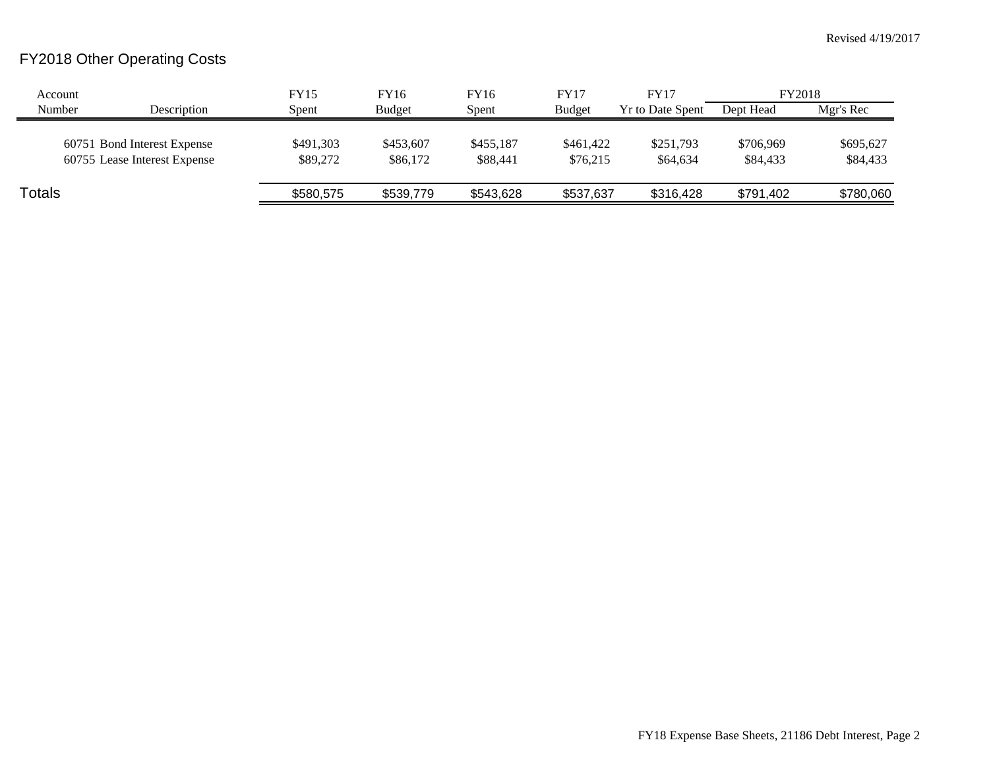## FY2018 Other Operating Costs

| Account |                                                             | <b>FY15</b>           | FY16                  | FY16                  | <b>FY17</b>           | <b>FY17</b>             | FY2018                |                       |
|---------|-------------------------------------------------------------|-----------------------|-----------------------|-----------------------|-----------------------|-------------------------|-----------------------|-----------------------|
| Number  | Description                                                 | Spent                 | Budget                | Spent                 | <b>Budget</b>         | <b>Yr to Date Spent</b> | Dept Head             | Mgr's Rec             |
|         | 60751 Bond Interest Expense<br>60755 Lease Interest Expense | \$491,303<br>\$89,272 | \$453,607<br>\$86,172 | \$455,187<br>\$88,441 | \$461,422<br>\$76.215 | \$251,793<br>\$64,634   | \$706,969<br>\$84,433 | \$695,627<br>\$84,433 |
| Totals  |                                                             | \$580,575             | \$539,779             | \$543,628             | \$537,637             | \$316,428               | \$791,402             | \$780,060             |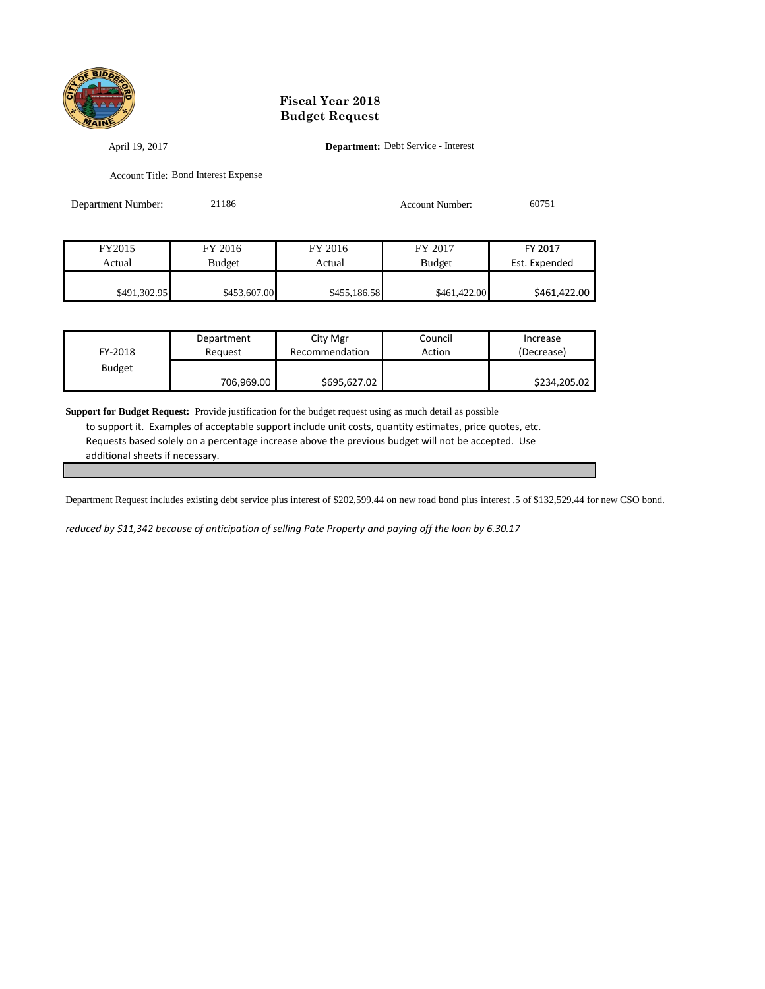

## **Fiscal Year 2018 Budget Request**

April 19, 2017 **Department:** Debt Service - Interest

Account Title: Bond Interest Expense

| Department Number: | 21186         |              | <b>Account Number:</b> | 60751         |  |
|--------------------|---------------|--------------|------------------------|---------------|--|
|                    |               |              |                        |               |  |
| FY2015             | FY 2016       | FY 2016      | FY 2017                | FY 2017       |  |
| Actual             | <b>Budget</b> | Actual       | <b>Budget</b>          | Est. Expended |  |
| \$491,302.95       | \$453,607.00  | \$455,186.58 | \$461,422.00           | \$461,422.00  |  |

| FY-2018       | Department | City Mgr       | Council | Increase     |
|---------------|------------|----------------|---------|--------------|
|               | Reauest    | Recommendation | Action  | (Decrease)   |
| <b>Budget</b> | 706,969.00 | \$695,627.02   |         | \$234,205.02 |

**Support for Budget Request:** Provide justification for the budget request using as much detail as possible to support it. Examples of acceptable support include unit costs, quantity estimates, price quotes, etc. Requests based solely on a percentage increase above the previous budget will not be accepted. Use additional sheets if necessary.

Department Request includes existing debt service plus interest of \$202,599.44 on new road bond plus interest .5 of \$132,529.44 for new CSO bond.

*reduced by \$11,342 because of anticipation of selling Pate Property and paying off the loan by 6.30.17*